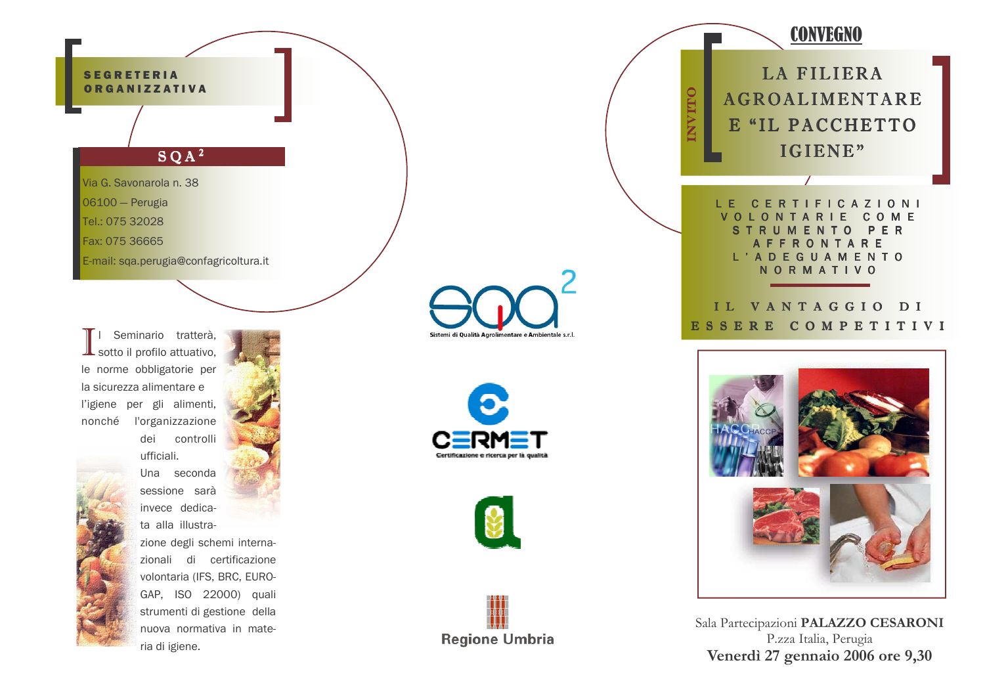#### **SEGRETERIA ORGANIZZATIVA**

# $SOA<sup>2</sup>$

Via G. Savonarola n. 38

06100 - Perugia

Tel.: 075 32028

Fax: 075 36665

E-mail: sqa.perugia@confagricoltura.it

Seminario tratterà, sotto il profilo attuativo, le norme obbligatorie per la sicurezza alimentare e l'igiene per gli alimenti, nonché l'organizzazione



dei controlli ufficiali. Una seconda sessione sarà invece dedicata alla illustrazione degli schemi internazionali di certificazione volontaria (IFS, BRC, EURO-GAP, ISO 22000) quali strumenti di gestione della nuova normativa in materia di igiene.

Sistemi di Qualità Agrolimentare e Ambientale s.r.l.







**CONVEGNO LA FILIERA ITIO AGROALIMENTARE** E "IL PACCHETTO IGIENE" **CERTIFICAZIONI**  $1 - F$ LONTARIE COME  $\mathsf{R}$ MENTO PER U **FFRONTARE** L'ADEGUAMENTO **NORMATIVO** IL VANTAGGIO DI ESSERE COMPETITIVI



Sala Partecipazioni PALAZZO CESARONI P.zza Italia, Perugia Venerdì 27 gennaio 2006 ore 9,30